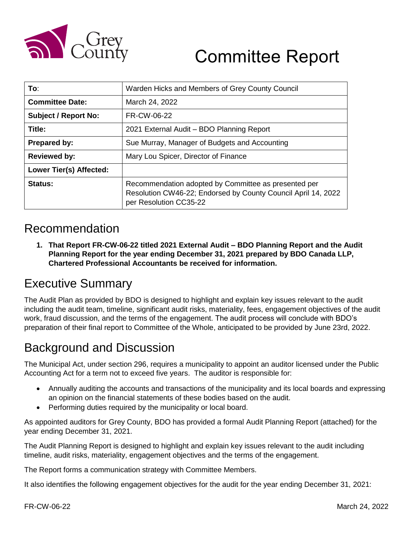

# Committee Report

| To∶                         | Warden Hicks and Members of Grey County Council                                                                                                 |
|-----------------------------|-------------------------------------------------------------------------------------------------------------------------------------------------|
| <b>Committee Date:</b>      | March 24, 2022                                                                                                                                  |
| <b>Subject / Report No:</b> | FR-CW-06-22                                                                                                                                     |
| Title:                      | 2021 External Audit - BDO Planning Report                                                                                                       |
| <b>Prepared by:</b>         | Sue Murray, Manager of Budgets and Accounting                                                                                                   |
| <b>Reviewed by:</b>         | Mary Lou Spicer, Director of Finance                                                                                                            |
| Lower Tier(s) Affected:     |                                                                                                                                                 |
| Status:                     | Recommendation adopted by Committee as presented per<br>Resolution CW46-22; Endorsed by County Council April 14, 2022<br>per Resolution CC35-22 |

#### Recommendation

**1. That Report FR-CW-06-22 titled 2021 External Audit – BDO Planning Report and the Audit Planning Report for the year ending December 31, 2021 prepared by BDO Canada LLP, Chartered Professional Accountants be received for information.**

### Executive Summary

The Audit Plan as provided by BDO is designed to highlight and explain key issues relevant to the audit including the audit team, timeline, significant audit risks, materiality, fees, engagement objectives of the audit work, fraud discussion, and the terms of the engagement. The audit process will conclude with BDO's preparation of their final report to Committee of the Whole, anticipated to be provided by June 23rd, 2022.

# Background and Discussion

The Municipal Act, under section 296, requires a municipality to appoint an auditor licensed under the Public Accounting Act for a term not to exceed five years. The auditor is responsible for:

- Annually auditing the accounts and transactions of the municipality and its local boards and expressing an opinion on the financial statements of these bodies based on the audit.
- Performing duties required by the municipality or local board.

As appointed auditors for Grey County, BDO has provided a formal Audit Planning Report (attached) for the year ending December 31, 2021.

The Audit Planning Report is designed to highlight and explain key issues relevant to the audit including timeline, audit risks, materiality, engagement objectives and the terms of the engagement.

The Report forms a communication strategy with Committee Members.

It also identifies the following engagement objectives for the audit for the year ending December 31, 2021: